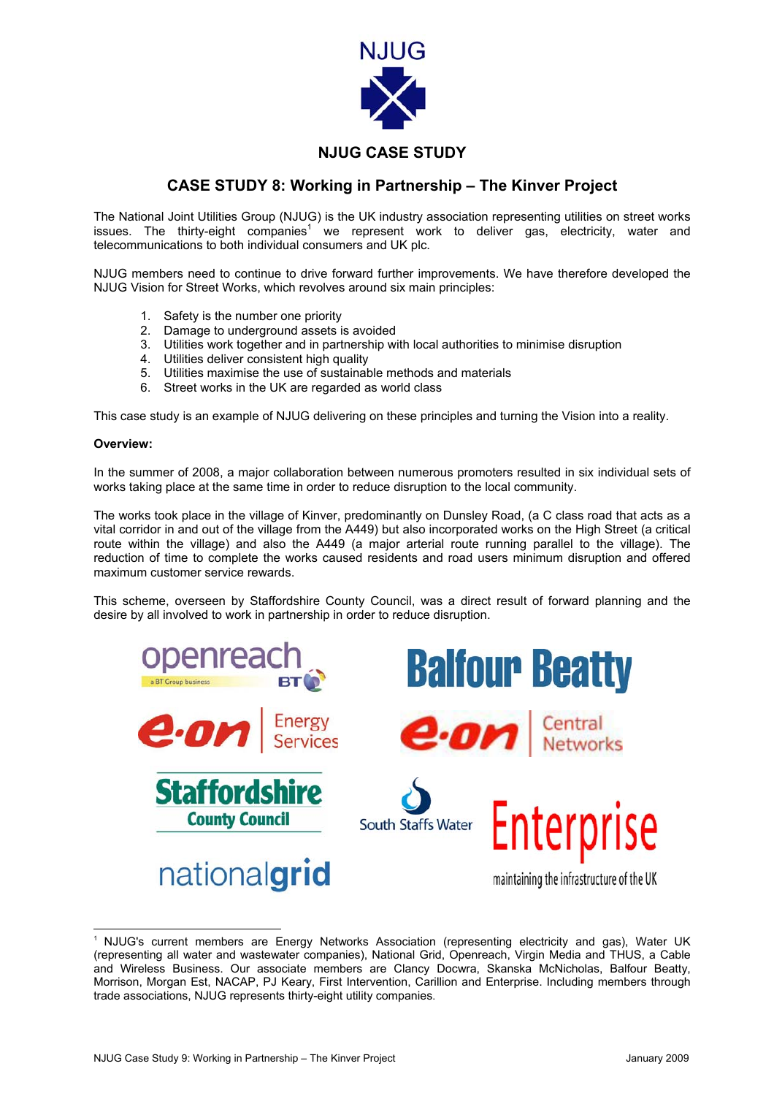

## **NJUG CASE STUDY**

## **CASE STUDY 8: Working in Partnership – The Kinver Project**

The National Joint Utilities Group (NJUG) is the UK industry association representing utilities on street works issues. The thirty-eight companies<sup>[1](#page-0-0)</sup> we represent work to deliver gas, electricity, water and telecommunications to both individual consumers and UK plc.

NJUG members need to continue to drive forward further improvements. We have therefore developed the NJUG Vision for Street Works, which revolves around six main principles:

- 1. Safety is the number one priority
- 2. Damage to underground assets is avoided
- 3. Utilities work together and in partnership with local authorities to minimise disruption
- 4. Utilities deliver consistent high quality
- 5. Utilities maximise the use of sustainable methods and materials
- 6. Street works in the UK are regarded as world class

This case study is an example of NJUG delivering on these principles and turning the Vision into a reality.

## **Overview:**

In the summer of 2008, a major collaboration between numerous promoters resulted in six individual sets of works taking place at the same time in order to reduce disruption to the local community.

The works took place in the village of Kinver, predominantly on Dunsley Road, (a C class road that acts as a vital corridor in and out of the village from the A449) but also incorporated works on the High Street (a critical route within the village) and also the A449 (a major arterial route running parallel to the village). The reduction of time to complete the works caused residents and road users minimum disruption and offered maximum customer service rewards.

This scheme, overseen by Staffordshire County Council, was a direct result of forward planning and the desire by all involved to work in partnership in order to reduce disruption.

<span id="page-0-0"></span>

<sup>&</sup>lt;sup>1</sup> NJUG's current members are Energy Networks Association (representing electricity and gas), Water UK (representing all water and wastewater companies), National Grid, Openreach, Virgin Media and THUS, a Cable and Wireless Business. Our associate members are Clancy Docwra, Skanska McNicholas, Balfour Beatty, Morrison, Morgan Est, NACAP, PJ Keary, First Intervention, Carillion and Enterprise. Including members through trade associations, NJUG represents thirty-eight utility companies.